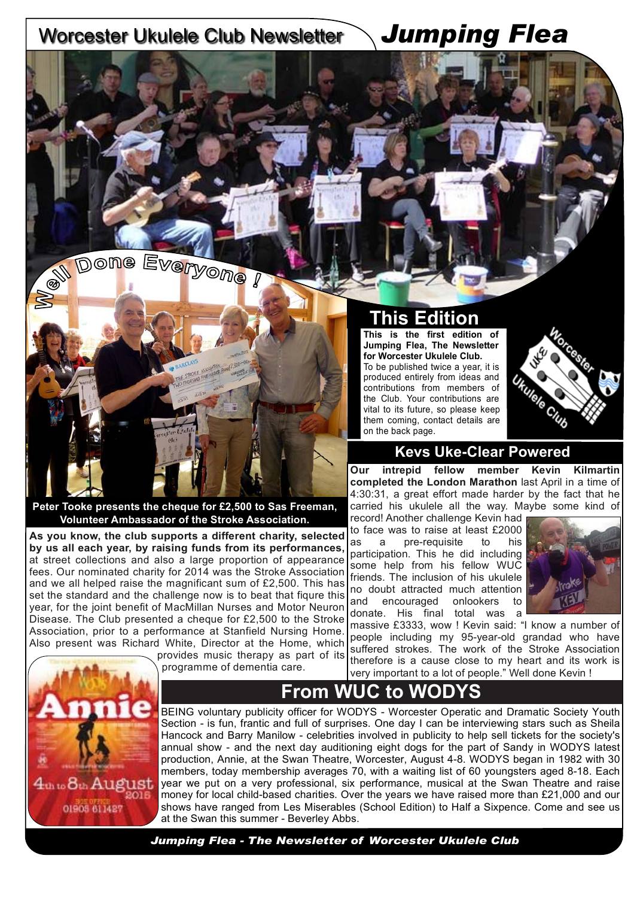## Worcester Ukulele Club Newsletter *Jumping Flea*



**As you know, the club supports a different charity, selected by us all each year, by raising funds from its performances,** at street collections and also a large proportion of appearance fees. Our nominated charity for 2014 was the Stroke Association and we all helped raise the magnificant sum of £2,500. This has set the standard and the challenge now is to beat that figure this year, for the joint benefit of MacMillan Nurses and Motor Neuron Disease. The Club presented a cheque for £2,500 to the Stroke Association, prior to a performance at Stanfield Nursing Home. Also present was Richard White, Director at the Home, which

**Peter Tooke presents the cheque for £2,500 to Sas Freeman, Volunteer Ambassador of the Stroke Association.**

### **This Edition**

**This is the first edition of Jumping Flea, The Newsletter for Worcester Ukulele Club.** 

To be published twice a year, it is produced entirely from ideas and contributions from members of the Club. Your contributions are vital to its future, so please keep them coming, contact details are on the back page.



#### **Kevs Uke-Clear Powered**

**Our intrepid fellow member Kevin Kilmartin completed the London Marathon** last April in a time of 4:30:31, a great effort made harder by the fact that he carried his ukulele all the way. Maybe some kind of record! Another challenge Kevin had

to face was to raise at least £2000 as a pre-requisite to his participation. This he did including some help from his fellow WUC friends. The inclusion of his ukulele no doubt attracted much attention and encouraged onlookers to donate. His final total was a



massive £3333, wow ! Kevin said: "I know a number of people including my 95-year-old grandad who have suffered strokes. The work of the Stroke Association therefore is a cause close to my heart and its work is very important to a lot of people." Well done Kevin !



provides music therapy as part of its programme of dementia care.

## **From WUC to WODYS**

BEING voluntary publicity officer for WODYS - Worcester Operatic and Dramatic Society Youth Section - is fun, frantic and full of surprises. One day I can be interviewing stars such as Sheila Hancock and Barry Manilow - celebrities involved in publicity to help sell tickets for the society's annual show - and the next day auditioning eight dogs for the part of Sandy in WODYS latest production, Annie, at the Swan Theatre, Worcester, August 4-8. WODYS began in 1982 with 30 members, today membership averages 70, with a waiting list of 60 youngsters aged 8-18. Each year we put on a very professional, six performance, musical at the Swan Theatre and raise money for local child-based charities. Over the years we have raised more than £21,000 and our shows have ranged from Les Miserables (School Edition) to Half a Sixpence. Come and see us at the Swan this summer - Beverley Abbs.

*Jumping Flea - The Newsletter of Worcester Ukulele Club*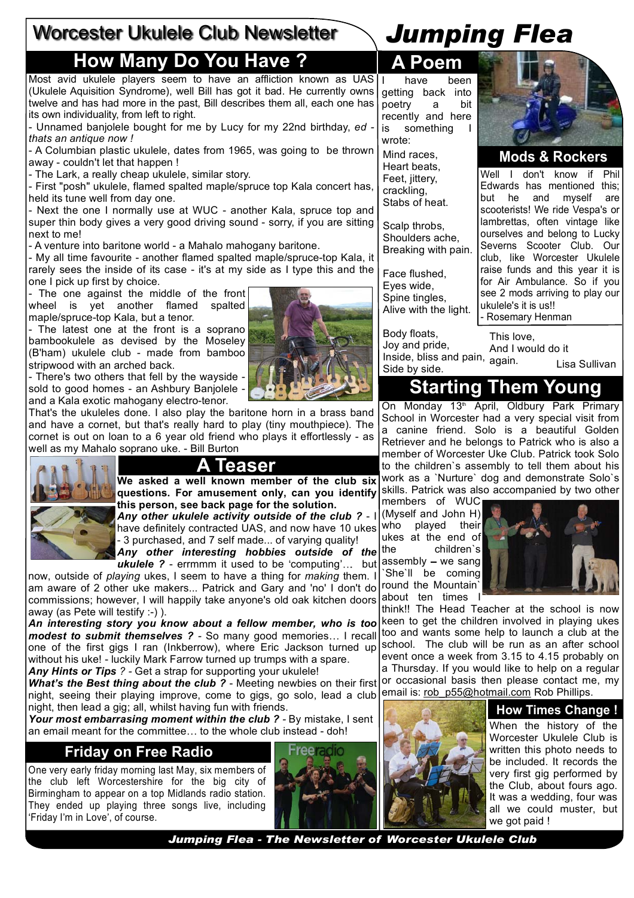## Worcester Ukulele Club Newsletter

## **How Many Do You Have ? A Poem**

Most avid ukulele players seem to have an affliction known as UAS (Ukulele Aquisition Syndrome), well Bill has got it bad. He currently owns twelve and has had more in the past, Bill describes them all, each one has its own individuality, from left to right.

- Unnamed banjolele bought for me by Lucy for my 22nd birthday, *ed thats an antique now !*

- A Columbian plastic ukulele, dates from 1965, was going to be thrown away - couldn't let that happen !

- The Lark, a really cheap ukulele, similar story.

- First "posh" ukulele, flamed spalted maple/spruce top Kala concert has, held its tune well from day one.

- Next the one I normally use at WUC - another Kala, spruce top and super thin body gives a very good driving sound - sorry, if you are sitting next to me!

- A venture into baritone world - a Mahalo mahogany baritone.

- My all time favourite - another flamed spalted maple/spruce-top Kala, it rarely sees the inside of its case - it's at my side as I type this and the one I pick up first by choice.

- The one against the middle of the front wheel is yet another flamed spalted maple/spruce-top Kala, but a tenor.

- The latest one at the front is a soprano bambookulele as devised by the Moseley (B'ham) ukulele club - made from bamboo stripwood with an arched back.

- There's two others that fell by the wayside sold to good homes - an Ashbury Banjolele and a Kala exotic mahogany electro-tenor.

That's the ukuleles done. I also play the baritone horn in a brass band and have a cornet, but that's really hard to play (tiny mouthpiece). The cornet is out on loan to a 6 year old friend who plays it effortlessly - as well as my Mahalo soprano uke. - Bill Burton





**We asked a well known member of the club six questions. For amusement only, can you identify this person, see back page for the solution.** *Any other ukulele activity outside of the club ?* - I have definitely contracted UAS, and now have 10 ukes - 3 purchased, and 7 self made... of varying quality! *Any other interesting hobbies outside of the*  **ukulele ?** - errmmm it used to be 'computing'... but

now, outside of *playing* ukes, I seem to have a thing for *making* them. I am aware of 2 other uke makers... Patrick and Gary and 'no' I don't do commissions; however, I will happily take anyone's old oak kitchen doors away (as Pete will testify :-) ).

*An interesting story you know about a fellow member, who is too modest to submit themselves* ? - So many good memories... I recall one of the first gigs I ran (Inkberrow), where Eric Jackson turned up without his uke! - luckily Mark Farrow turned up trumps with a spare. *Any Hints or Tips ? -* Get a strap for supporting your ukulele!

**What's the Best thing about the club** ? - Meeting newbies on their first night, seeing their playing improve, come to gigs, go solo, lead a club night, then lead a gig; all, whilst having fun with friends.

*Your most embarrasing moment within the club ? -* By mistake, I sent an email meant for the committee... to the whole club instead - doh!

#### **Friday on Free Radio**

One very early friday morning last May, six members of the club left Worcestershire for the big city of Birmingham to appear on a top Midlands radio station. They ended up playing three songs live, including 'Friday I'm in Love', of course.



have been getting back into poetry a bit recently and here is something I wrote:

Mind races, Heart beats, Feet, jittery, crackling, Stabs of heat.

Scalp throbs, Shoulders ache, Breaking with pain.

Face flushed, Eyes wide, Spine tingles, Alive with the light.

Body floats, Joy and pride,  $\frac{1}{2}$ Inside, bliss and pain,  $\frac{1}{2}$ Side by side.

**Mods & Rockers**

Well I don't know if Phil Edwards has mentioned this; but he and myself are scooterists! We ride Vespa's or lambrettas, often vintage like ourselves and belong to Lucky Severns Scooter Club. Our club, like Worcester Ukulele raise funds and this year it is for Air Ambulance. So if you see 2 mods arriving to play our ukulele's it is us!! - Rosemary Henman

This love, And I would do it Lisa Sullivan

## **Starting Them Young**

On Monday 13<sup>th</sup> April, Oldbury Park Primary School in Worcester had a very special visit from a canine friend. Solo is a beautiful Golden Retriever and he belongs to Patrick who is also a member of Worcester Uke Club. Patrick took Solo to the children`s assembly to tell them about his work as a `Nurture` dog and demonstrate Solo`s skills. Patrick was also accompanied by two other

members of WUC (Myself and John H) who played their ukes at the end of the children`s assembly  $-$  we sang `She`ll be coming round the Mountain` about ten times I



think!! The Head Teacher at the school is now keen to get the children involved in playing ukes too and wants some help to launch a club at the school. The club will be run as an after school event once a week from 3.15 to 4.15 probably on a Thursday. If you would like to help on a regular or occasional basis then please contact me, my email is: rob\_p55@hotmail.com Rob Phillips.

#### **How Times Change !**

When the history of the Worcester Ukulele Club is written this photo needs to be included. It records the very first gig performed by the Club, about fours ago. It was a wedding, four was all we could muster, but we got paid !

*Jumping Flea - The Newsletter of Worcester Ukulele Club*



*Jumping Flea*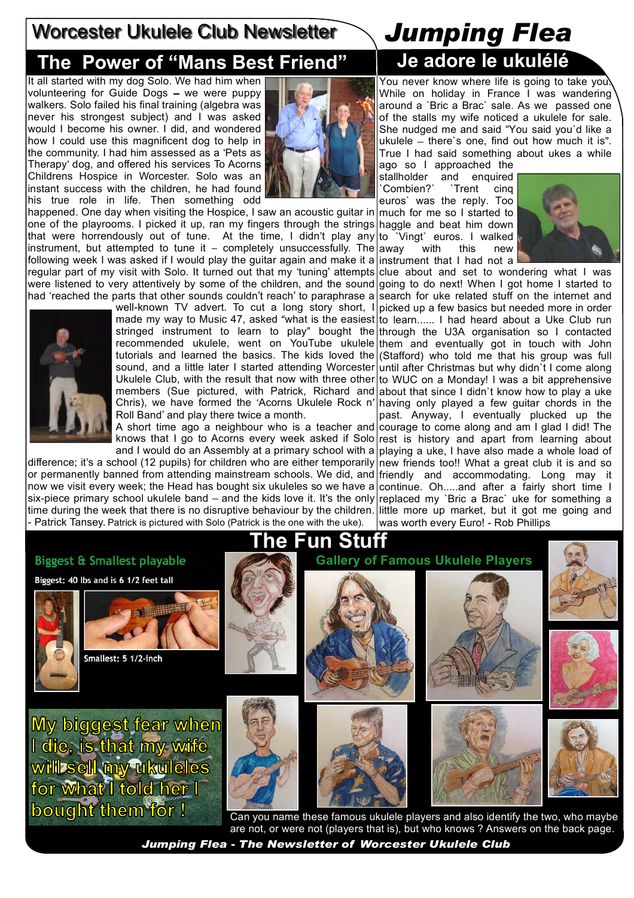# Worcester Ukulele Club Newsletter *Jumping Flea*

# **The Power of Mans Best Friend Je adore le ukulélé**

It all started with my dog Solo. We had him when volunteering for Guide Dogs  $-$  we were puppy walkers. Solo failed his final training (algebra was never his strongest subject) and I was asked would I become his owner. I did, and wondered how I could use this magnificent dog to help in the community. I had him assessed as a 'Pets as Therapy' dog, and offered his services To Acorns Childrens Hospice in Worcester. Solo was an instant success with the children, he had found his true role in life. Then something odd

happened. One day when visiting the Hospice, I saw an acoustic guitar in one of the playrooms. I picked it up, ran my fingers through the strings haggle and beat him down that were horrendously out of tune. At the time, I didn't play any|to `Vingt` euros. I walked instrument, but attempted to tune it – completely unsuccessfully. The away with this new following week I was asked if I would play the guitar again and make it a instrument that I had not a regular part of my visit with Solo. It turned out that my 'tuning' attempts were listened to very attentively by some of the children, and the sound had 'reached the parts that other sounds couldn't reach' to paraphrase a



well-known TV advert. To cut a long story short, I made my way to Music 47, asked "what is the easiest to learn...... I had heard about a Uke Club run stringed instrument to learn to play" bought the through the U3A organisation so I contacted recommended ukulele, went on YouTube ukulele them and eventually got in touch with John tutorials and learned the basics. The kids loved the (Stafford) who told me that his group was full sound, and a little later I started attending Worcester until after Christmas but why didn`t I come along Ukulele Club, with the result that now with three other members (Sue pictured, with Patrick, Richard and about that since I didn't know how to play a uke Chris), we have formed the 'Acorns Ukulele Rock n' having only played a few guitar chords in the Roll Band' and play there twice a month.

A short time ago a neighbour who is a teacher and courage to come along and am I glad I did! The knows that I go to Acorns every week asked if Solo rest is history and apart from learning about

difference; it's a school (12 pupils) for children who are either temporarily new friends too!! What a great club it is and so or permanently banned from attending mainstream schools. We did, and friendly and accommodating. Long may it now we visit every week; the Head has bought six ukuleles so we have a continue. Oh.....and after a fairly short time I six-piece primary school ukulele band – and the kids love it. It's the only replaced my `Bric a Brac` uke for something a time during the week that there is no disruptive behaviour by the children. little more up market, but it got me going and - Patrick Tansey. Patrick is pictured with Solo (Patrick is the one with the uke).

You never know where life is going to take you While on holiday in France I was wandering around a `Bric a Brac` sale. As we passed one of the stalls my wife noticed a ukulele for sale. She nudged me and said You said you`d like a  $|$ ukulele  $-$  there's one, find out how much it is". True I had said something about ukes a while

ago so I approached the stallholder and enquired `Combien?` `Trent cinq euros` was the reply. Too

much for me so I started to



and I would do an Assembly at a primary school with a |playing a uke, I have also made a whole load of clue about and set to wondering what I was going to do next! When I got home I started to search for uke related stuff on the internet and picked up a few basics but needed more in order to WUC on a Monday! I was a bit apprehensive past. Anyway, I eventually plucked up the was worth every Euro! - Rob Phillips



*Jumping Flea - The Newsletter of Worcester Ukulele Club*